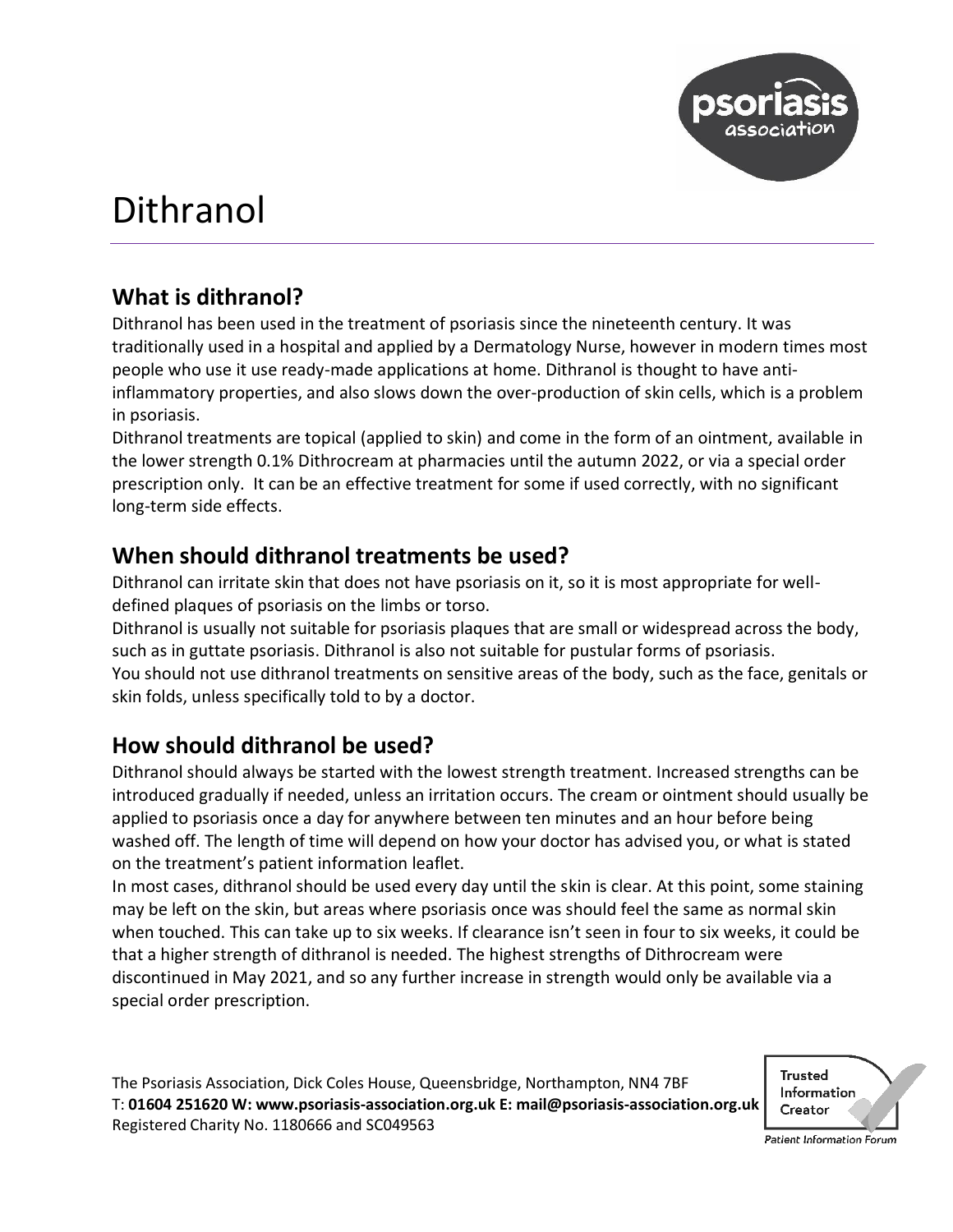

# Dithranol

## **What is dithranol?**

Dithranol has been used in the treatment of psoriasis since the nineteenth century. It was traditionally used in a hospital and applied by a Dermatology Nurse, however in modern times most people who use it use ready-made applications at home. Dithranol is thought to have antiinflammatory properties, and also slows down the over-production of skin cells, which is a problem in psoriasis.

Dithranol treatments are topical (applied to skin) and come in the form of an ointment, available in the lower strength 0.1% Dithrocream at pharmacies until the autumn 2022, or via a special order prescription only. It can be an effective treatment for some if used correctly, with no significant long-term side effects.

## **When should dithranol treatments be used?**

Dithranol can irritate skin that does not have psoriasis on it, so it is most appropriate for welldefined plaques of psoriasis on the limbs or torso.

Dithranol is usually not suitable for psoriasis plaques that are small or widespread across the body, such as in guttate psoriasis. Dithranol is also not suitable for pustular forms of psoriasis. You should not use dithranol treatments on sensitive areas of the body, such as the face, genitals or skin folds, unless specifically told to by a doctor.

## **How should dithranol be used?**

Dithranol should always be started with the lowest strength treatment. Increased strengths can be introduced gradually if needed, unless an irritation occurs. The cream or ointment should usually be applied to psoriasis once a day for anywhere between ten minutes and an hour before being washed off. The length of time will depend on how your doctor has advised you, or what is stated on the treatment's patient information leaflet.

In most cases, dithranol should be used every day until the skin is clear. At this point, some staining may be left on the skin, but areas where psoriasis once was should feel the same as normal skin when touched. This can take up to six weeks. If clearance isn't seen in four to six weeks, it could be that a higher strength of dithranol is needed. The highest strengths of Dithrocream were discontinued in May 2021, and so any further increase in strength would only be available via a special order prescription.

The Psoriasis Association, Dick Coles House, Queensbridge, Northampton, NN4 7BF T: **01604 251620 W: www.psoriasis-association.org.uk E: mail@psoriasis-association.org.uk** Registered Charity No. 1180666 and SC049563



Patient Information Forum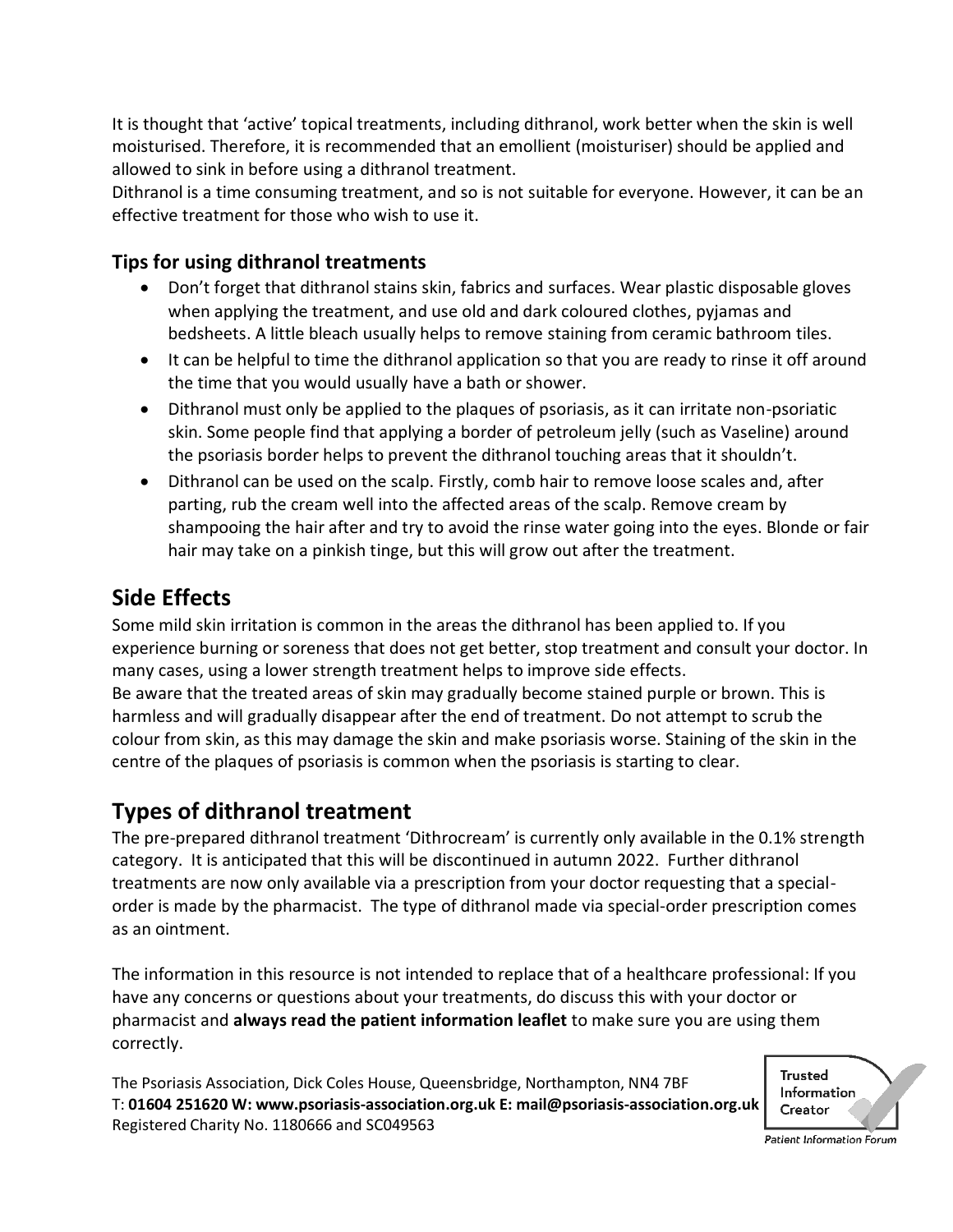It is thought that 'active' topical treatments, including dithranol, work better when the skin is well moisturised. Therefore, it is recommended that an emollient (moisturiser) should be applied and allowed to sink in before using a dithranol treatment.

Dithranol is a time consuming treatment, and so is not suitable for everyone. However, it can be an effective treatment for those who wish to use it.

### **Tips for using dithranol treatments**

- Don't forget that dithranol stains skin, fabrics and surfaces. Wear plastic disposable gloves when applying the treatment, and use old and dark coloured clothes, pyjamas and bedsheets. A little bleach usually helps to remove staining from ceramic bathroom tiles.
- It can be helpful to time the dithranol application so that you are ready to rinse it off around the time that you would usually have a bath or shower.
- Dithranol must only be applied to the plaques of psoriasis, as it can irritate non-psoriatic skin. Some people find that applying a border of petroleum jelly (such as Vaseline) around the psoriasis border helps to prevent the dithranol touching areas that it shouldn't.
- Dithranol can be used on the scalp. Firstly, comb hair to remove loose scales and, after parting, rub the cream well into the affected areas of the scalp. Remove cream by shampooing the hair after and try to avoid the rinse water going into the eyes. Blonde or fair hair may take on a pinkish tinge, but this will grow out after the treatment.

## **Side Effects**

Some mild skin irritation is common in the areas the dithranol has been applied to. If you experience burning or soreness that does not get better, stop treatment and consult your doctor. In many cases, using a lower strength treatment helps to improve side effects. Be aware that the treated areas of skin may gradually become stained purple or brown. This is harmless and will gradually disappear after the end of treatment. Do not attempt to scrub the colour from skin, as this may damage the skin and make psoriasis worse. Staining of the skin in the centre of the plaques of psoriasis is common when the psoriasis is starting to clear.

## **Types of dithranol treatment**

The pre-prepared dithranol treatment 'Dithrocream' is currently only available in the 0.1% strength category. It is anticipated that this will be discontinued in autumn 2022. Further dithranol treatments are now only available via a prescription from your doctor requesting that a specialorder is made by the pharmacist. The type of dithranol made via special-order prescription comes as an ointment.

The information in this resource is not intended to replace that of a healthcare professional: If you have any concerns or questions about your treatments, do discuss this with your doctor or pharmacist and **always read the patient information leaflet** to make sure you are using them correctly.

The Psoriasis Association, Dick Coles House, Queensbridge, Northampton, NN4 7BF T: **01604 251620 W: www.psoriasis-association.org.uk E: mail@psoriasis-association.org.uk** Registered Charity No. 1180666 and SC049563



Patient Information Forum